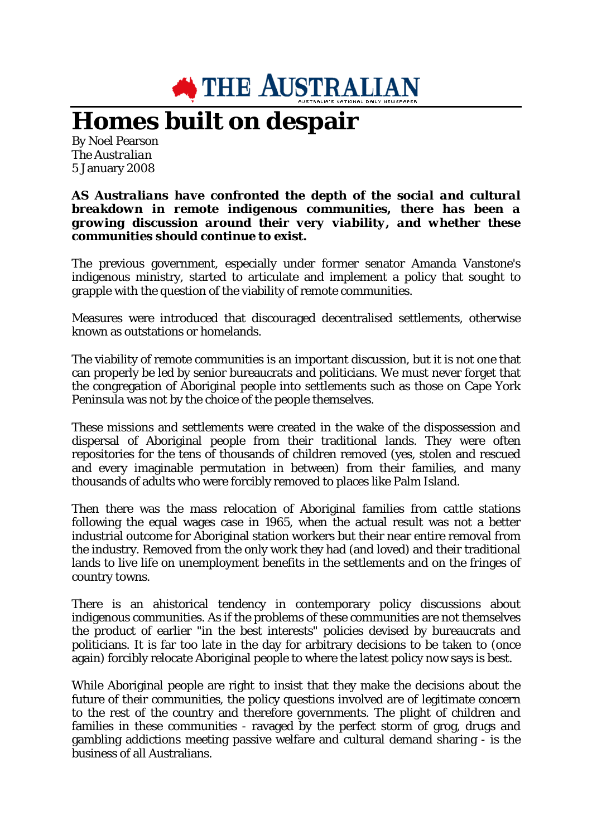

## **Homes built on despair**

By Noel Pearson *The Australian* 5 January 2008

## *AS Australians have confronted the depth of the social and cultural breakdown in remote indigenous communities, there has been a growing discussion around their very viability, and whether these communities should continue to exist.*

The previous government, especially under former senator Amanda Vanstone's indigenous ministry, started to articulate and implement a policy that sought to grapple with the question of the viability of remote communities.

Measures were introduced that discouraged decentralised settlements, otherwise known as outstations or homelands.

The viability of remote communities is an important discussion, but it is not one that can properly be led by senior bureaucrats and politicians. We must never forget that the congregation of Aboriginal people into settlements such as those on Cape York Peninsula was not by the choice of the people themselves.

These missions and settlements were created in the wake of the dispossession and dispersal of Aboriginal people from their traditional lands. They were often repositories for the tens of thousands of children removed (yes, stolen and rescued and every imaginable permutation in between) from their families, and many thousands of adults who were forcibly removed to places like Palm Island.

Then there was the mass relocation of Aboriginal families from cattle stations following the equal wages case in 1965, when the actual result was not a better industrial outcome for Aboriginal station workers but their near entire removal from the industry. Removed from the only work they had (and loved) and their traditional lands to live life on unemployment benefits in the settlements and on the fringes of country towns.

There is an ahistorical tendency in contemporary policy discussions about indigenous communities. As if the problems of these communities are not themselves the product of earlier "in the best interests" policies devised by bureaucrats and politicians. It is far too late in the day for arbitrary decisions to be taken to (once again) forcibly relocate Aboriginal people to where the latest policy now says is best.

While Aboriginal people are right to insist that they make the decisions about the future of their communities, the policy questions involved are of legitimate concern to the rest of the country and therefore governments. The plight of children and families in these communities - ravaged by the perfect storm of grog, drugs and gambling addictions meeting passive welfare and cultural demand sharing - is the business of all Australians.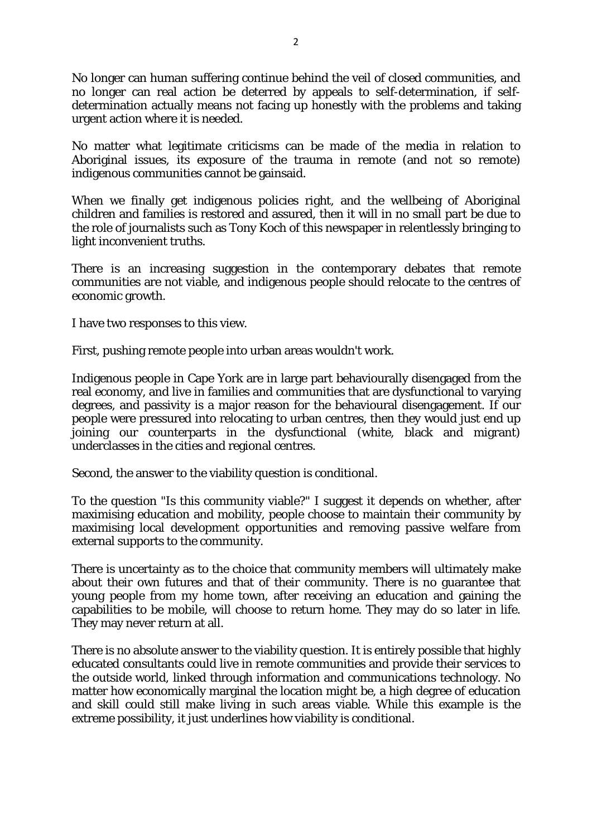No longer can human suffering continue behind the veil of closed communities, and no longer can real action be deterred by appeals to self-determination, if selfdetermination actually means not facing up honestly with the problems and taking urgent action where it is needed.

No matter what legitimate criticisms can be made of the media in relation to Aboriginal issues, its exposure of the trauma in remote (and not so remote) indigenous communities cannot be gainsaid.

When we finally get indigenous policies right, and the wellbeing of Aboriginal children and families is restored and assured, then it will in no small part be due to the role of journalists such as Tony Koch of this newspaper in relentlessly bringing to light inconvenient truths.

There is an increasing suggestion in the contemporary debates that remote communities are not viable, and indigenous people should relocate to the centres of economic growth.

I have two responses to this view.

First, pushing remote people into urban areas wouldn't work.

Indigenous people in Cape York are in large part behaviourally disengaged from the real economy, and live in families and communities that are dysfunctional to varying degrees, and passivity is a major reason for the behavioural disengagement. If our people were pressured into relocating to urban centres, then they would just end up joining our counterparts in the dysfunctional (white, black and migrant) underclasses in the cities and regional centres.

Second, the answer to the viability question is conditional.

To the question "Is this community viable?" I suggest it depends on whether, after maximising education and mobility, people choose to maintain their community by maximising local development opportunities and removing passive welfare from external supports to the community.

There is uncertainty as to the choice that community members will ultimately make about their own futures and that of their community. There is no guarantee that young people from my home town, after receiving an education and gaining the capabilities to be mobile, will choose to return home. They may do so later in life. They may never return at all.

There is no absolute answer to the viability question. It is entirely possible that highly educated consultants could live in remote communities and provide their services to the outside world, linked through information and communications technology. No matter how economically marginal the location might be, a high degree of education and skill could still make living in such areas viable. While this example is the extreme possibility, it just underlines how viability is conditional.